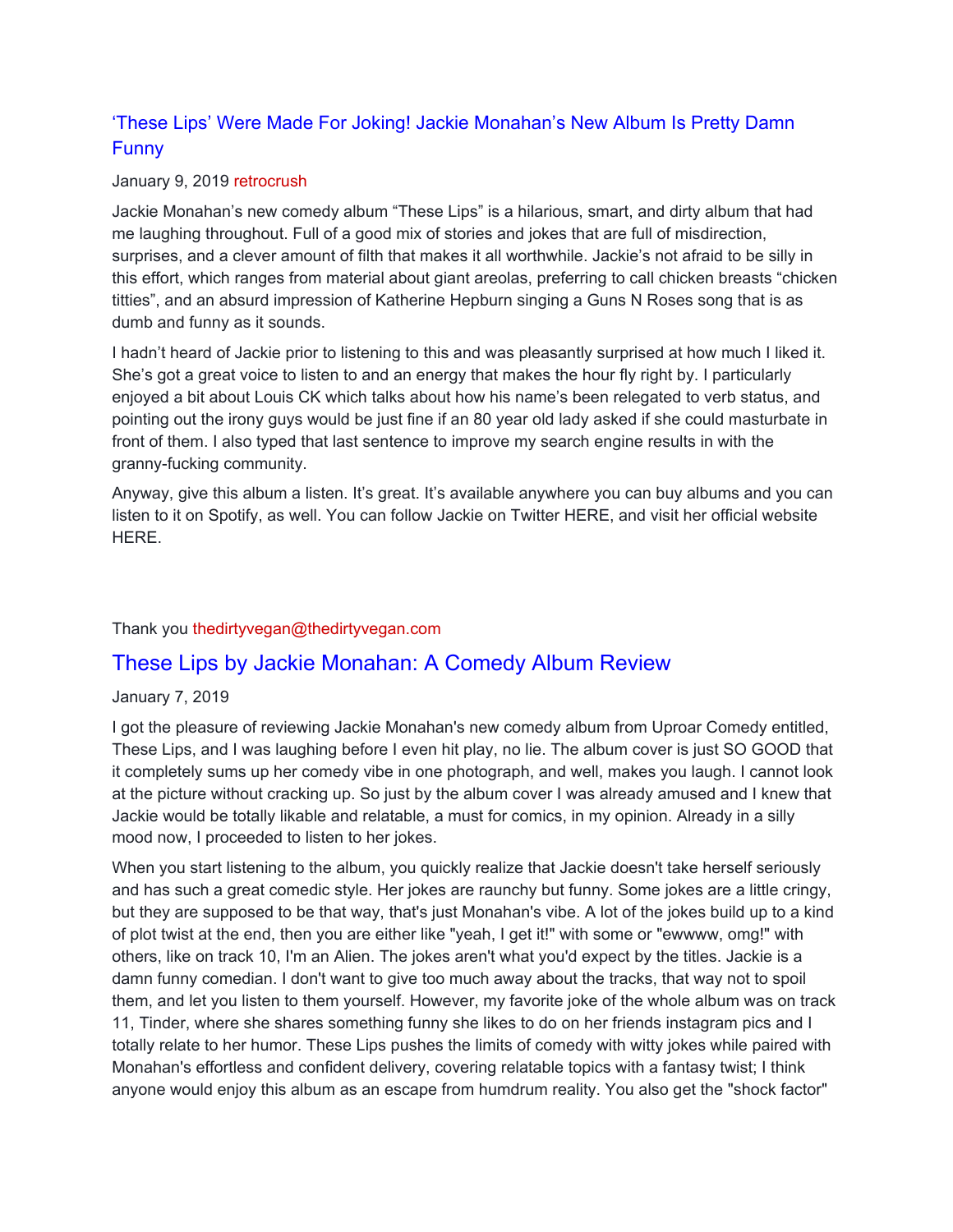## 'These Lips' Were Made For Joking! Jackie Monahan's New Album Is Pretty Damn Funny

#### January 9, 2019 retrocrush

Jackie Monahan's new comedy album "These Lips" is a hilarious, smart, and dirty album that had me laughing throughout. Full of a good mix of stories and jokes that are full of misdirection, surprises, and a clever amount of filth that makes it all worthwhile. Jackie's not afraid to be silly in this effort, which ranges from material about giant areolas, preferring to call chicken breasts "chicken titties", and an absurd impression of Katherine Hepburn singing a Guns N Roses song that is as dumb and funny as it sounds.

I hadn't heard of Jackie prior to listening to this and was pleasantly surprised at how much I liked it. She's got a great voice to listen to and an energy that makes the hour fly right by. I particularly enjoyed a bit about Louis CK which talks about how his name's been relegated to verb status, and pointing out the irony guys would be just fine if an 80 year old lady asked if she could masturbate in front of them. I also typed that last sentence to improve my search engine results in with the granny-fucking community.

Anyway, give this album a listen. It's great. It's available anywhere you can buy albums and you can listen to it on Spotify, as well. You can follow Jackie on Twitter HERE, and visit her official website HERE.

### Thank you thedirtyvegan@thedirtyvegan.com

## These Lips by Jackie Monahan: A Comedy Album Review

### January 7, 2019

I got the pleasure of reviewing Jackie Monahan's new comedy album from Uproar Comedy entitled, These Lips, and I was laughing before I even hit play, no lie. The album cover is just SO GOOD that it completely sums up her comedy vibe in one photograph, and well, makes you laugh. I cannot look at the picture without cracking up. So just by the album cover I was already amused and I knew that Jackie would be totally likable and relatable, a must for comics, in my opinion. Already in a silly mood now, I proceeded to listen to her jokes.

When you start listening to the album, you quickly realize that Jackie doesn't take herself seriously and has such a great comedic style. Her jokes are raunchy but funny. Some jokes are a little cringy, but they are supposed to be that way, that's just Monahan's vibe. A lot of the jokes build up to a kind of plot twist at the end, then you are either like "yeah, I get it!" with some or "ewwww, omg!" with others, like on track 10, I'm an Alien. The jokes aren't what you'd expect by the titles. Jackie is a damn funny comedian. I don't want to give too much away about the tracks, that way not to spoil them, and let you listen to them yourself. However, my favorite joke of the whole album was on track 11, Tinder, where she shares something funny she likes to do on her friends instagram pics and I totally relate to her humor. These Lips pushes the limits of comedy with witty jokes while paired with Monahan's effortless and confident delivery, covering relatable topics with a fantasy twist; I think anyone would enjoy this album as an escape from humdrum reality. You also get the "shock factor"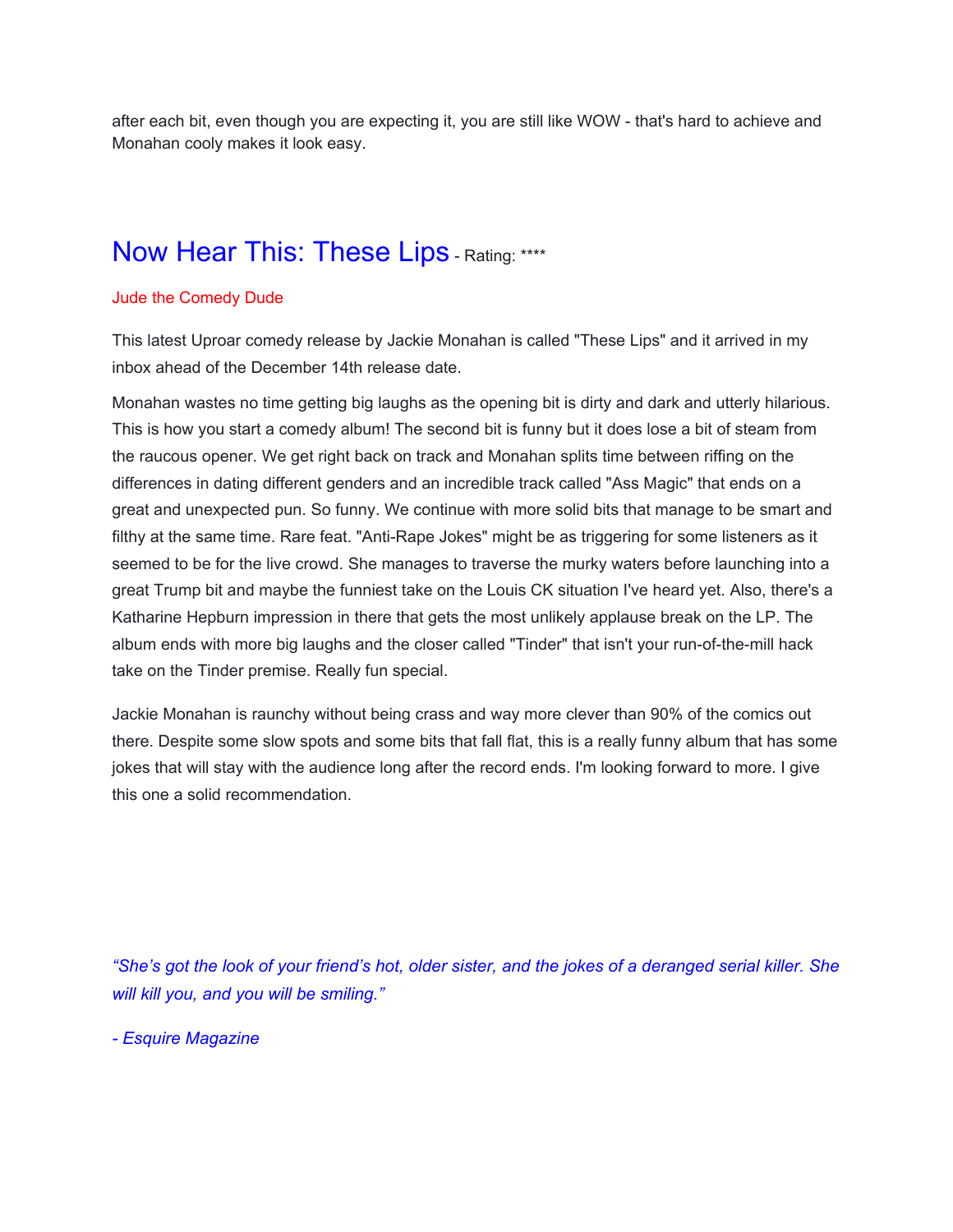after each bit, even though you are expecting it, you are still like WOW - that's hard to achieve and Monahan cooly makes it look easy.

# Now Hear This: These Lips - Rating: \*\*\*\*

#### Jude the Comedy Dude

This latest Uproar comedy release by Jackie Monahan is called "These Lips" and it arrived in my inbox ahead of the December 14th release date.

Monahan wastes no time getting big laughs as the opening bit is dirty and dark and utterly hilarious. This is how you start a comedy album! The second bit is funny but it does lose a bit of steam from the raucous opener. We get right back on track and Monahan splits time between riffing on the differences in dating different genders and an incredible track called "Ass Magic" that ends on a great and unexpected pun. So funny. We continue with more solid bits that manage to be smart and filthy at the same time. Rare feat. "Anti-Rape Jokes" might be as triggering for some listeners as it seemed to be for the live crowd. She manages to traverse the murky waters before launching into a great Trump bit and maybe the funniest take on the Louis CK situation I've heard yet. Also, there's a Katharine Hepburn impression in there that gets the most unlikely applause break on the LP. The album ends with more big laughs and the closer called "Tinder" that isn't your run-of-the-mill hack take on the Tinder premise. Really fun special.

Jackie Monahan is raunchy without being crass and way more clever than 90% of the comics out there. Despite some slow spots and some bits that fall flat, this is a really funny album that has some jokes that will stay with the audience long after the record ends. I'm looking forward to more. I give this one a solid recommendation.

"She's got the look of your friend's hot, older sister, and the jokes of a deranged serial killer. She *will kill you, and you will be smiling."*

*- Esquire Magazine*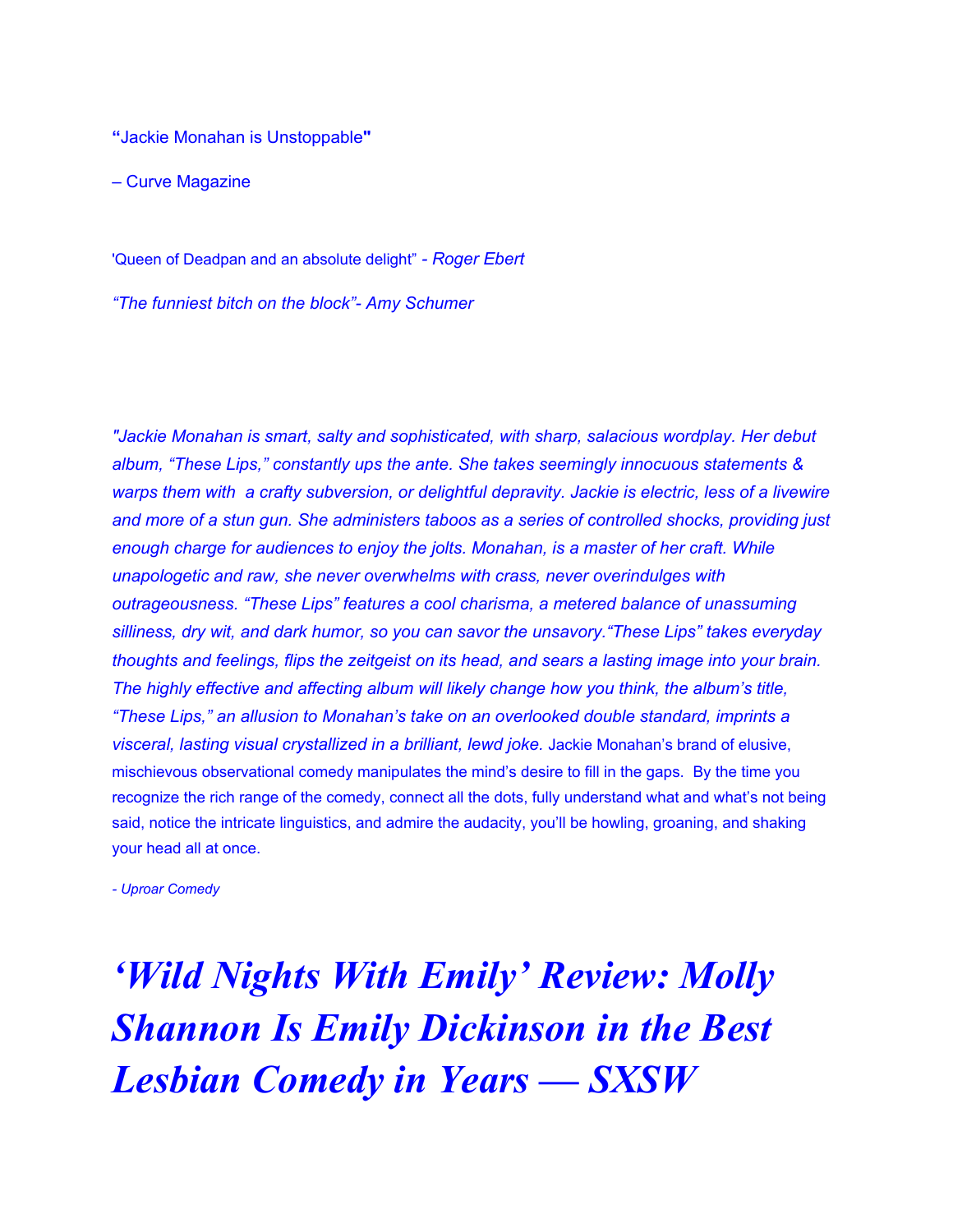**"**Jackie Monahan is Unstoppable**"**

– Curve Magazine

'Queen of Deadpan and an absolute delight" *- Roger Ebert*

*"The funniest bitch on the block"- Amy Schumer*

*"Jackie Monahan is smart, salty and sophisticated, with sharp, salacious wordplay. Her debut album, "These Lips," constantly ups the ante. She takes seemingly innocuous statements & warps them with a crafty subversion, or delightful depravity. Jackie is electric, less of a livewire and more of a stun gun. She administers taboos as a series of controlled shocks, providing just enough charge for audiences to enjoy the jolts. Monahan, is a master of her craft. While unapologetic and raw, she never overwhelms with crass, never overindulges with outrageousness. "These Lips" features a cool charisma, a metered balance of unassuming silliness, dry wit, and dark humor, so you can savor the unsavory."These Lips" takes everyday thoughts and feelings, flips the zeitgeist on its head, and sears a lasting image into your brain. The highly effective and affecting album will likely change how you think, the album's title, "These Lips," an allusion to Monahan's take on an overlooked double standard, imprints a visceral, lasting visual crystallized in a brilliant, lewd joke.* Jackie Monahan's brand of elusive, mischievous observational comedy manipulates the mind's desire to fill in the gaps. By the time you recognize the rich range of the comedy, connect all the dots, fully understand what and what's not being said, notice the intricate linguistics, and admire the audacity, you'll be howling, groaning, and shaking your head all at once.

*- Uproar Comedy*

*'Wild Nights With Emily' Review: Molly Shannon Is Emily Dickinson in the Best Lesbian Comedy in Years — SXSW*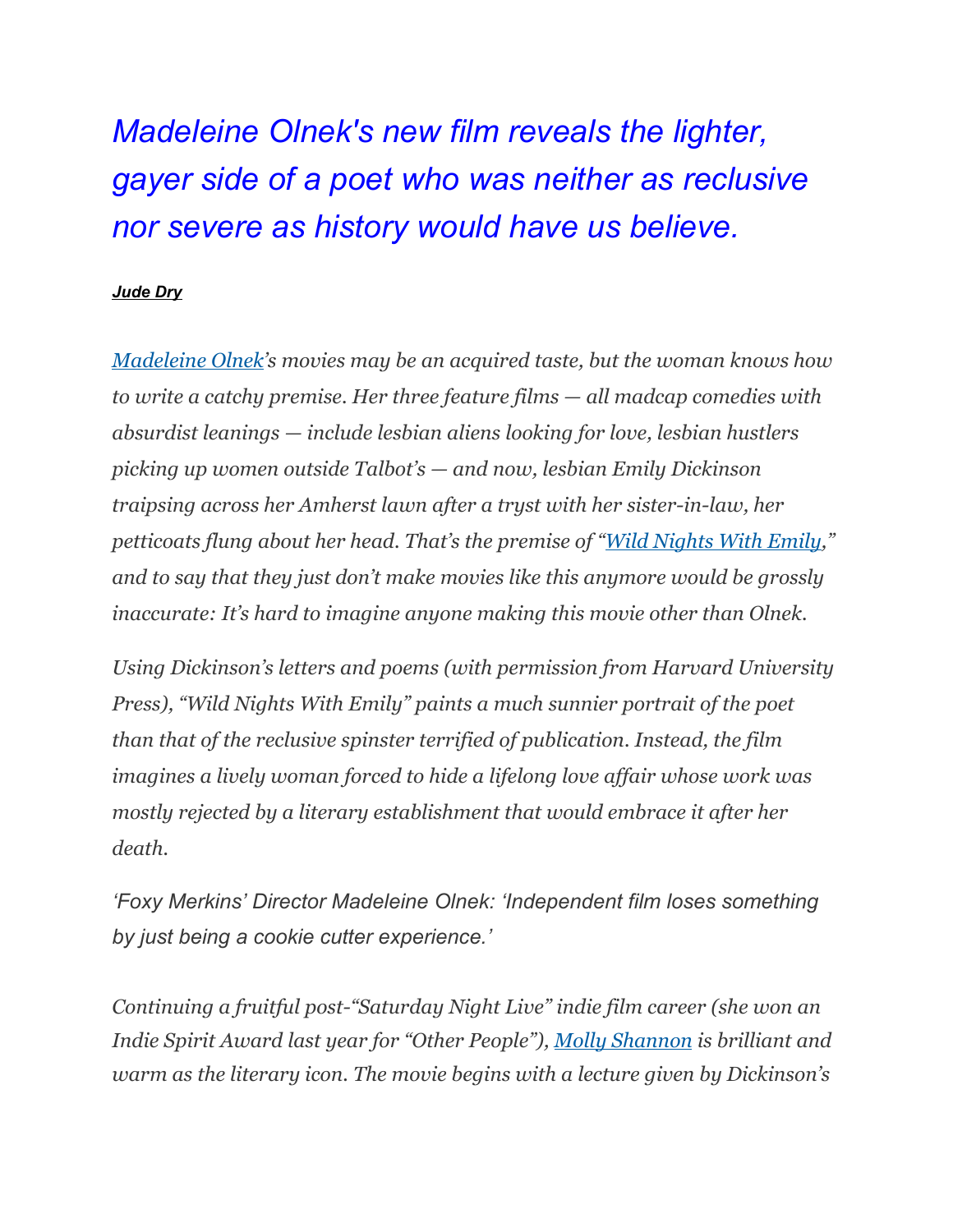*Madeleine Olnek's new film reveals the lighter, gayer side of a poet who was neither as reclusive nor severe as history would have us believe.*

### *[Jude Dry](https://www.indiewire.com/author/judith-dry/)*

*[Madeleine](https://www.indiewire.com/t/madeleine-olnek/) Olnek's movies may be an acquired taste, but the woman knows how to write a catchy premise. Her three feature films — all madcap comedies with absurdist leanings — include lesbian aliens looking for love, lesbian hustlers picking up women outside Talbot's — and now, lesbian Emily Dickinson traipsing across her Amherst lawn after a tryst with her sister-in-law, her petticoats flung about her head. That's the premise of "Wild [Nights](https://www.indiewire.com/t/wild-nights-with-emily/) With Emily," and to say that they just don't make movies like this anymore would be grossly inaccurate: It's hard to imagine anyone making this movie other than Olnek.*

*Using Dickinson's letters and poems (with permission from Harvard University Press), "Wild Nights With Emily" paints a much sunnier portrait of the poet than that of the reclusive spinster terrified of publication. Instead, the film imagines a lively woman forced to hide a lifelong love af air whose work was mostly rejected by a literary establishment that would embrace it after her death.*

*'Foxy Merkins' Director Madeleine Olnek: 'Independent film loses something by just being a cookie cutter experience.'*

*Continuing a fruitful post-"Saturday Night Live" indie film career (she won an Indie Spirit Award last year for "Other People"), Molly [Shannon](https://www.indiewire.com/t/molly-shannon/) is brilliant and warm as the literary icon. The movie begins with a lecture given by Dickinson's*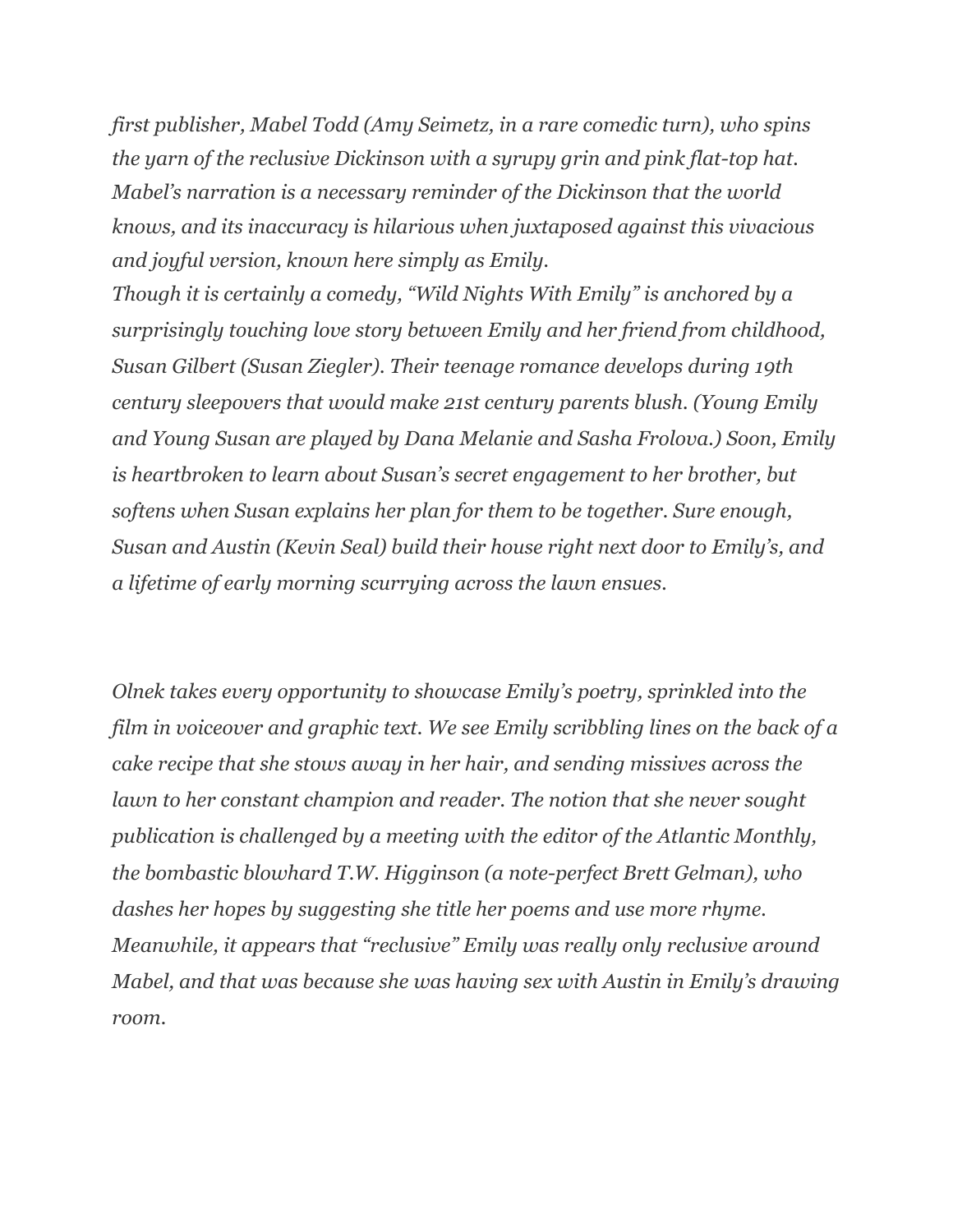*first publisher, Mabel Todd (Amy Seimetz, in a rare comedic turn), who spins the yarn of the reclusive Dickinson with a syrupy grin and pink flat-top hat. Mabel's narration is a necessary reminder of the Dickinson that the world knows, and its inaccuracy is hilarious when juxtaposed against this vivacious and joyful version, known here simply as Emily.*

*Though it is certainly a comedy, "Wild Nights With Emily" is anchored by a surprisingly touching love story between Emily and her friend from childhood, Susan Gilbert (Susan Ziegler). Their teenage romance develops during 19th century sleepovers that would make 21st century parents blush. (Young Emily and Young Susan are played by Dana Melanie and Sasha Frolova.) Soon, Emily is heartbroken to learn about Susan's secret engagement to her brother, but softens when Susan explains her plan for them to be together. Sure enough, Susan and Austin (Kevin Seal) build their house right next door to Emily's, and a lifetime of early morning scurrying across the lawn ensues.*

*Olnek takes every opportunity to showcase Emily's poetry, sprinkled into the film in voiceover and graphic text. We see Emily scribbling lines on the back of a cake recipe that she stows away in her hair, and sending missives across the lawn to her constant champion and reader. The notion that she never sought publication is challenged by a meeting with the editor of the Atlantic Monthly, the bombastic blowhard T.W. Higginson (a note-perfect Brett Gelman), who dashes her hopes by suggesting she title her poems and use more rhyme. Meanwhile, it appears that "reclusive" Emily was really only reclusive around Mabel, and that was because she was having sex with Austin in Emily's drawing room.*